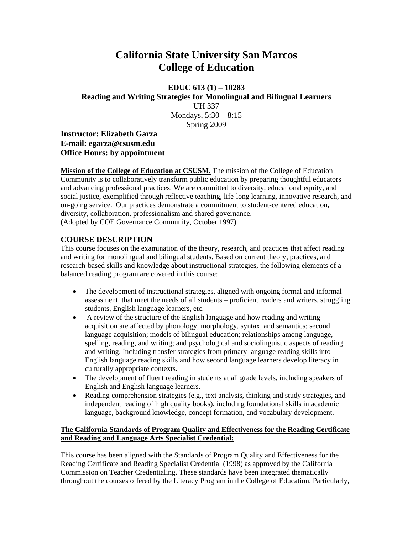# **California State University San Marcos College of Education**

**EDUC 613 (1) – 10283 Reading and Writing Strategies for Monolingual and Bilingual Learners**  UH 337 Mondays, 5:30 – 8:15 Spring 2009

**Instructor: Elizabeth Garza E-mail: egarza@csusm.edu Office Hours: by appointment** 

**Mission of the College of Education at CSUSM.** The mission of the College of Education Community is to collaboratively transform public education by preparing thoughtful educators and advancing professional practices. We are committed to diversity, educational equity, and social justice, exemplified through reflective teaching, life-long learning, innovative research, and on-going service. Our practices demonstrate a commitment to student-centered education, diversity, collaboration, professionalism and shared governance. (Adopted by COE Governance Community, October 1997)

# **COURSE DESCRIPTION**

This course focuses on the examination of the theory, research, and practices that affect reading and writing for monolingual and bilingual students. Based on current theory, practices, and research-based skills and knowledge about instructional strategies, the following elements of a balanced reading program are covered in this course:

- The development of instructional strategies, aligned with ongoing formal and informal assessment, that meet the needs of all students – proficient readers and writers, struggling students, English language learners, etc.
- A review of the structure of the English language and how reading and writing acquisition are affected by phonology, morphology, syntax, and semantics; second language acquisition; models of bilingual education; relationships among language, spelling, reading, and writing; and psychological and sociolinguistic aspects of reading and writing. Including transfer strategies from primary language reading skills into English language reading skills and how second language learners develop literacy in culturally appropriate contexts.
- The development of fluent reading in students at all grade levels, including speakers of English and English language learners.
- Reading comprehension strategies (e.g., text analysis, thinking and study strategies, and independent reading of high quality books), including foundational skills in academic language, background knowledge, concept formation, and vocabulary development.

# **The California Standards of Program Quality and Effectiveness for the Reading Certificate and Reading and Language Arts Specialist Credential:**

This course has been aligned with the Standards of Program Quality and Effectiveness for the Reading Certificate and Reading Specialist Credential (1998) as approved by the California Commission on Teacher Credentialing. These standards have been integrated thematically throughout the courses offered by the Literacy Program in the College of Education. Particularly,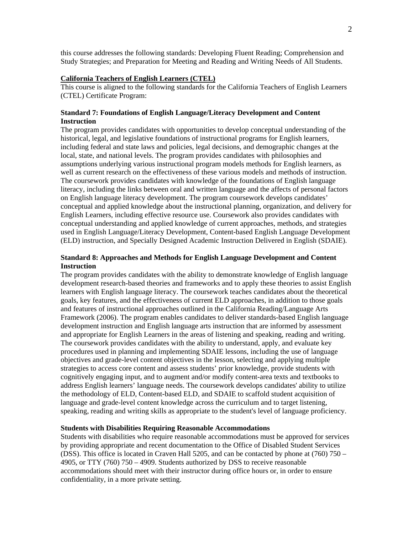this course addresses the following standards: Developing Fluent Reading; Comprehension and Study Strategies; and Preparation for Meeting and Reading and Writing Needs of All Students.

### **California Teachers of English Learners (CTEL)**

This course is aligned to the following standards for the California Teachers of English Learners (CTEL) Certificate Program:

### **Standard 7: Foundations of English Language/Literacy Development and Content Instruction**

The program provides candidates with opportunities to develop conceptual understanding of the historical, legal, and legislative foundations of instructional programs for English learners, including federal and state laws and policies, legal decisions, and demographic changes at the local, state, and national levels. The program provides candidates with philosophies and assumptions underlying various instructional program models methods for English learners, as well as current research on the effectiveness of these various models and methods of instruction. The coursework provides candidates with knowledge of the foundations of English language literacy, including the links between oral and written language and the affects of personal factors on English language literacy development. The program coursework develops candidates' conceptual and applied knowledge about the instructional planning, organization, and delivery for English Learners, including effective resource use. Coursework also provides candidates with conceptual understanding and applied knowledge of current approaches, methods, and strategies used in English Language/Literacy Development, Content-based English Language Development (ELD) instruction, and Specially Designed Academic Instruction Delivered in English (SDAIE).

### **Standard 8: Approaches and Methods for English Language Development and Content Instruction**

 speaking, reading and writing skills as appropriate to the student's level of language proficiency. The program provides candidates with the ability to demonstrate knowledge of English language development research-based theories and frameworks and to apply these theories to assist English learners with English language literacy. The coursework teaches candidates about the theoretical goals, key features, and the effectiveness of current ELD approaches, in addition to those goals and features of instructional approaches outlined in the California Reading/Language Arts Framework (2006). The program enables candidates to deliver standards-based English language development instruction and English language arts instruction that are informed by assessment and appropriate for English Learners in the areas of listening and speaking, reading and writing. The coursework provides candidates with the ability to understand, apply, and evaluate key procedures used in planning and implementing SDAIE lessons, including the use of language objectives and grade-level content objectives in the lesson, selecting and applying multiple strategies to access core content and assess students' prior knowledge, provide students with cognitively engaging input, and to augment and/or modify content-area texts and textbooks to address English learners' language needs. The coursework develops candidates' ability to utilize the methodology of ELD, Content-based ELD, and SDAIE to scaffold student acquisition of language and grade-level content knowledge across the curriculum and to target listening,

#### **Students with Disabilities Requiring Reasonable Accommodations**

Students with disabilities who require reasonable accommodations must be approved for services by providing appropriate and recent documentation to the Office of Disabled Student Services (DSS). This office is located in Craven Hall 5205, and can be contacted by phone at (760) 750 – 4905, or TTY (760) 750 – 4909. Students authorized by DSS to receive reasonable accommodations should meet with their instructor during office hours or, in order to ensure confidentiality, in a more private setting.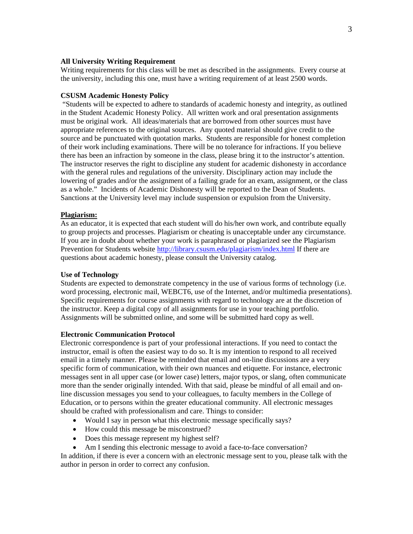#### **All University Writing Requirement**

Writing requirements for this class will be met as described in the assignments. Every course at the university, including this one, must have a writing requirement of at least 2500 words.

#### **CSUSM Academic Honesty Policy**

 "Students will be expected to adhere to standards of academic honesty and integrity, as outlined in the Student Academic Honesty Policy. All written work and oral presentation assignments must be original work. All ideas/materials that are borrowed from other sources must have appropriate references to the original sources. Any quoted material should give credit to the source and be punctuated with quotation marks. Students are responsible for honest completion of their work including examinations. There will be no tolerance for infractions. If you believe there has been an infraction by someone in the class, please bring it to the instructor's attention. The instructor reserves the right to discipline any student for academic dishonesty in accordance with the general rules and regulations of the university. Disciplinary action may include the lowering of grades and/or the assignment of a failing grade for an exam, assignment, or the class as a whole." Incidents of Academic Dishonesty will be reported to the Dean of Students. Sanctions at the University level may include suspension or expulsion from the University.

#### **Plagiarism:**

As an educator, it is expected that each student will do his/her own work, and contribute equally to group projects and processes. Plagiarism or cheating is unacceptable under any circumstance. If you are in doubt about whether your work is paraphrased or plagiarized see the Plagiarism Prevention for Students website http://library.csusm.edu/plagiarism/index.html If there are questions about academic honesty, please consult the University catalog.

### **Use of Technology**

Students are expected to demonstrate competency in the use of various forms of technology (i.e. word processing, electronic mail, WEBCT6, use of the Internet, and/or multimedia presentations). Specific requirements for course assignments with regard to technology are at the discretion of the instructor. Keep a digital copy of all assignments for use in your teaching portfolio. Assignments will be submitted online, and some will be submitted hard copy as well.

#### **Electronic Communication Protocol**

Electronic correspondence is part of your professional interactions. If you need to contact the instructor, email is often the easiest way to do so. It is my intention to respond to all received email in a timely manner. Please be reminded that email and on-line discussions are a very specific form of communication, with their own nuances and etiquette. For instance, electronic messages sent in all upper case (or lower case) letters, major typos, or slang, often communicate more than the sender originally intended. With that said, please be mindful of all email and online discussion messages you send to your colleagues, to faculty members in the College of Education, or to persons within the greater educational community. All electronic messages should be crafted with professionalism and care. Things to consider:

- Would I say in person what this electronic message specifically says?
- How could this message be misconstrued?
- Does this message represent my highest self?
- Am I sending this electronic message to avoid a face-to-face conversation?

In addition, if there is ever a concern with an electronic message sent to you, please talk with the author in person in order to correct any confusion.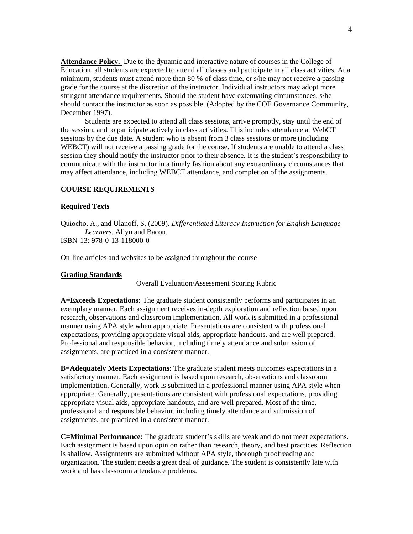**Attendance Policy.** Due to the dynamic and interactive nature of courses in the College of Education, all students are expected to attend all classes and participate in all class activities. At a minimum, students must attend more than 80 % of class time, or s/he may not receive a passing grade for the course at the discretion of the instructor. Individual instructors may adopt more stringent attendance requirements. Should the student have extenuating circumstances, s/he should contact the instructor as soon as possible. (Adopted by the COE Governance Community, December 1997).

Students are expected to attend all class sessions, arrive promptly, stay until the end of the session, and to participate actively in class activities. This includes attendance at WebCT sessions by the due date. A student who is absent from 3 class sessions or more (including WEBCT) will not receive a passing grade for the course. If students are unable to attend a class session they should notify the instructor prior to their absence. It is the student's responsibility to communicate with the instructor in a timely fashion about any extraordinary circumstances that may affect attendance, including WEBCT attendance, and completion of the assignments.

#### **COURSE REQUIREMENTS**

#### **Required Texts**

  *Learners.* Allyn and Bacon. ISBN-13: 978-0-13-118000-0 Quiocho, A., and Ulanoff, S. (2009). *Differentiated Literacy Instruction for English Language*

On-line articles and websites to be assigned throughout the course

#### **Grading Standards**

Overall Evaluation/Assessment Scoring Rubric

**A=Exceeds Expectations:** The graduate student consistently performs and participates in an exemplary manner. Each assignment receives in-depth exploration and reflection based upon research, observations and classroom implementation. All work is submitted in a professional manner using APA style when appropriate. Presentations are consistent with professional expectations, providing appropriate visual aids, appropriate handouts, and are well prepared. Professional and responsible behavior, including timely attendance and submission of assignments, are practiced in a consistent manner.

**B=Adequately Meets Expectations**: The graduate student meets outcomes expectations in a satisfactory manner. Each assignment is based upon research, observations and classroom implementation. Generally, work is submitted in a professional manner using APA style when appropriate. Generally, presentations are consistent with professional expectations, providing appropriate visual aids, appropriate handouts, and are well prepared. Most of the time, professional and responsible behavior, including timely attendance and submission of assignments, are practiced in a consistent manner.

**C=Minimal Performance:** The graduate student's skills are weak and do not meet expectations. Each assignment is based upon opinion rather than research, theory, and best practices. Reflection is shallow. Assignments are submitted without APA style, thorough proofreading and organization. The student needs a great deal of guidance. The student is consistently late with work and has classroom attendance problems.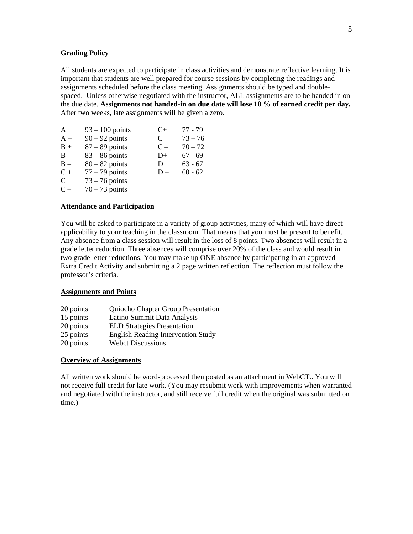#### **Grading Policy**

All students are expected to participate in class activities and demonstrate reflective learning. It is important that students are well prepared for course sessions by completing the readings and assignments scheduled before the class meeting. Assignments should be typed and doublespaced. Unless otherwise negotiated with the instructor, ALL assignments are to be handed in on the due date. **Assignments not handed-in on due date will lose 10 % of earned credit per day.**  After two weeks, late assignments will be given a zero.

| A          | $93 - 100$ points | $C+$  | $77 - 79$ |
|------------|-------------------|-------|-----------|
| ${\rm A}-$ | $90 - 92$ points  | C     | $73 - 76$ |
| $B +$      | $87 - 89$ points  | $C -$ | $70 - 72$ |
| В          | $83 - 86$ points  | $D+$  | $67 - 69$ |
| $B -$      | $80 - 82$ points  | D     | $63 - 67$ |
| $C +$      | $77 - 79$ points  | $D -$ | $60 - 62$ |
| C          | $73 - 76$ points  |       |           |
| $C -$      | $70 - 73$ points  |       |           |

#### **Attendance and Participation**

 professor's criteria. You will be asked to participate in a variety of group activities, many of which will have direct applicability to your teaching in the classroom. That means that you must be present to benefit. Any absence from a class session will result in the loss of 8 points. Two absences will result in a grade letter reduction. Three absences will comprise over 20% of the class and would result in two grade letter reductions. You may make up ONE absence by participating in an approved Extra Credit Activity and submitting a 2 page written reflection. The reflection must follow the

#### **Assignments and Points**

| 20 points | Quiocho Chapter Group Presentation        |
|-----------|-------------------------------------------|
| 15 points | Latino Summit Data Analysis               |
| 20 points | <b>ELD Strategies Presentation</b>        |
| 25 points | <b>English Reading Intervention Study</b> |
| 20 points | <b>Webct Discussions</b>                  |

#### **Overview of Assignments**

All written work should be word-processed then posted as an attachment in WebCT.. You will not receive full credit for late work. (You may resubmit work with improvements when warranted and negotiated with the instructor, and still receive full credit when the original was submitted on time.)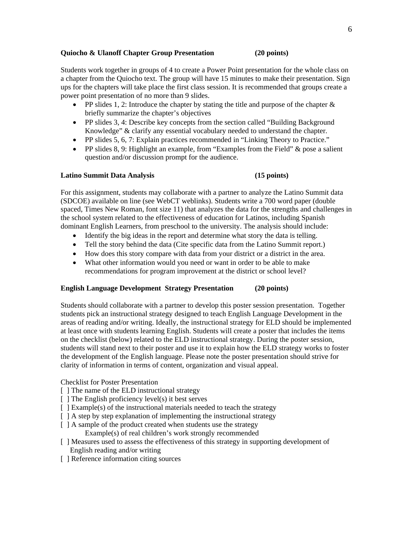#### **Quiocho & Ulanoff Chapter Group Presentation (20 points)**

Students work together in groups of 4 to create a Power Point presentation for the whole class on a chapter from the Quiocho text. The group will have 15 minutes to make their presentation. Sign ups for the chapters will take place the first class session. It is recommended that groups create a power point presentation of no more than 9 slides.

- PP slides 1, 2: Introduce the chapter by stating the title and purpose of the chapter  $\&$ briefly summarize the chapter's objectives
- PP slides 3, 4: Describe key concepts from the section called "Building Background" Knowledge" & clarify any essential vocabulary needed to understand the chapter.
- PP slides 5, 6, 7: Explain practices recommended in "Linking Theory to Practice."
- PP slides 8, 9: Highlight an example, from "Examples from the Field"  $\&$  pose a salient question and/or discussion prompt for the audience.

#### **Latino Summit Data Analysis (15 points)**

For this assignment, students may collaborate with a partner to analyze the Latino Summit data (SDCOE) available on line (see WebCT weblinks). Students write a 700 word paper (double spaced, Times New Roman, font size 11) that analyzes the data for the strengths and challenges in the school system related to the effectiveness of education for Latinos, including Spanish dominant English Learners, from preschool to the university. The analysis should include:

- Identify the big ideas in the report and determine what story the data is telling.
- Tell the story behind the data (Cite specific data from the Latino Summit report.)
- How does this story compare with data from your district or a district in the area.
- What other information would you need or want in order to be able to make recommendations for program improvement at the district or school level?

#### **English Language Development Strategy Presentation (20 points)**

Students should collaborate with a partner to develop this poster session presentation. Together students pick an instructional strategy designed to teach English Language Development in the areas of reading and/or writing. Ideally, the instructional strategy for ELD should be implemented at least once with students learning English. Students will create a poster that includes the items on the checklist (below) related to the ELD instructional strategy. During the poster session, students will stand next to their poster and use it to explain how the ELD strategy works to foster the development of the English language. Please note the poster presentation should strive for clarity of information in terms of content, organization and visual appeal.

Checklist for Poster Presentation

- $\lceil$  The name of the ELD instructional strategy
- [ ] The name of the ELD instructional strategy [ ] The English proficiency level(s) it best serves
- [ ] Example(s) of the instructional materials needed to teach the strategy
- [  $\vert$  A step by step explanation of implementing the instructional strategy
- [ ] A sample of the product created when students use the strategy
	- Example(s) of real children's work strongly recommended
- [ ] Measures used to assess the effectiveness of this strategy in supporting development of English reading and/or writing
- [ ] Reference information citing sources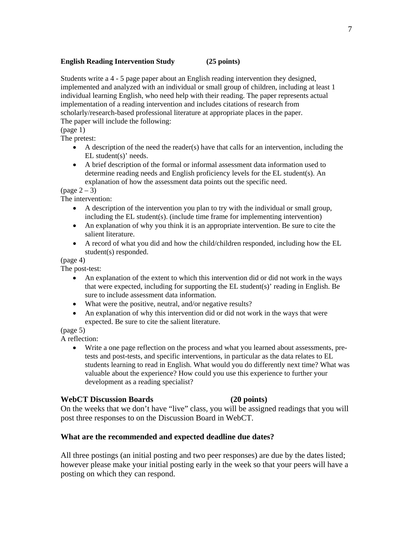# **English Reading Intervention Study** (25 points)

Students write a 4 - 5 page paper about an English reading intervention they designed, implemented and analyzed with an individual or small group of children, including at least 1 individual learning English, who need help with their reading. The paper represents actual implementation of a reading intervention and includes citations of research from scholarly/research-based professional literature at appropriate places in the paper. The paper will include the following:

# (page 1)

The pretest:

- $\bullet$  A description of the need the reader(s) have that calls for an intervention, including the EL student(s)' needs.
- • A brief description of the formal or informal assessment data information used to determine reading needs and English proficiency levels for the EL student(s). An explanation of how the assessment data points out the specific need.

 $(\text{page }2 - 3)$ 

The intervention:

- A description of the intervention you plan to try with the individual or small group, including the EL student(s). (include time frame for implementing intervention)
- An explanation of why you think it is an appropriate intervention. Be sure to cite the salient literature.
- A record of what you did and how the child/children responded, including how the EL student(s) responded.

(page 4)

The post-test:

- An explanation of the extent to which this intervention did or did not work in the ways that were expected, including for supporting the EL student(s)' reading in English. Be sure to include assessment data information.
- What were the positive, neutral, and/or negative results?
- An explanation of why this intervention did or did not work in the ways that were expected. Be sure to cite the salient literature.

(page 5)

A reflection:

 development as a reading specialist? Write a one page reflection on the process and what you learned about assessments, pretests and post-tests, and specific interventions, in particular as the data relates to EL students learning to read in English. What would you do differently next time? What was valuable about the experience? How could you use this experience to further your

# **WebCT Discussion Boards (20 points)**

On the weeks that we don't have "live" class, you will be assigned readings that you will post three responses to on the Discussion Board in WebCT.

# **What are the recommended and expected deadline due dates?**

All three postings (an initial posting and two peer responses) are due by the dates listed; however please make your initial posting early in the week so that your peers will have a posting on which they can respond.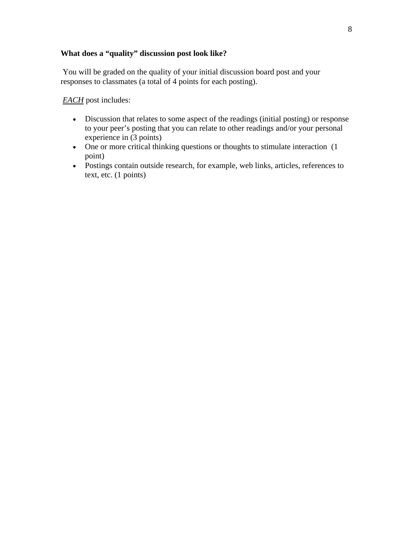# **What does a "quality" discussion post look like?**

 You will be graded on the quality of your initial discussion board post and your responses to classmates (a total of 4 points for each posting).

*EACH* post includes:

- Discussion that relates to some aspect of the readings (initial posting) or response to your peer's posting that you can relate to other readings and/or your personal experience in (3 points)
- One or more critical thinking questions or thoughts to stimulate interaction (1) point)
- Postings contain outside research, for example, web links, articles, references to text, etc. (1 points)